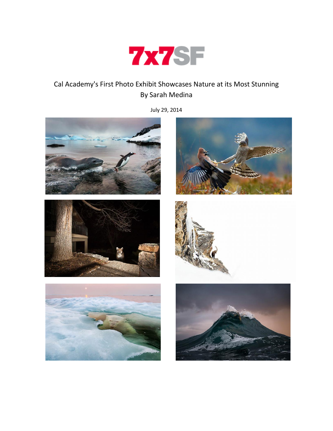

## Cal Academy's First Photo Exhibit Showcases Nature at its Most Stunning By Sarah Medina

July 29, 2014